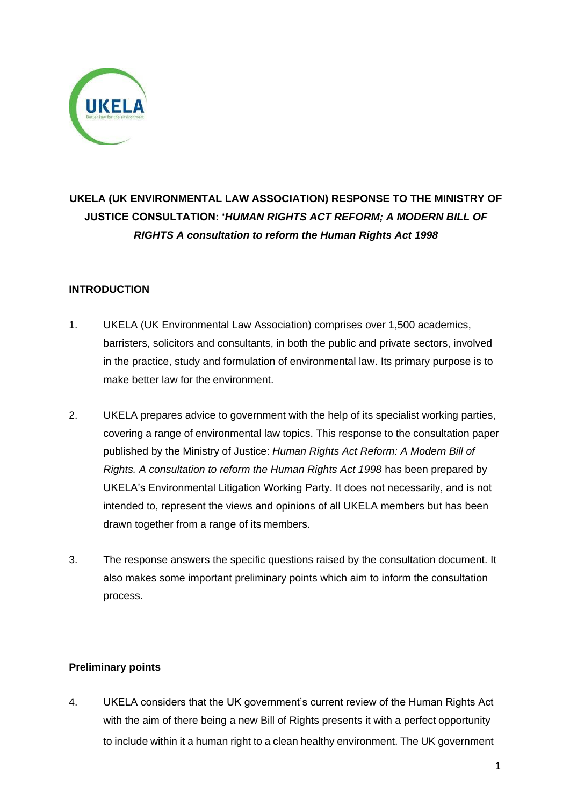

# **UKELA (UK ENVIRONMENTAL LAW ASSOCIATION) RESPONSE TO THE MINISTRY OF JUSTICE CONSULTATION: '***HUMAN RIGHTS ACT REFORM; A MODERN BILL OF RIGHTS A consultation to reform the Human Rights Act 1998*

### **INTRODUCTION**

- 1. UKELA (UK Environmental Law Association) comprises over 1,500 academics, barristers, solicitors and consultants, in both the public and private sectors, involved in the practice, study and formulation of environmental law. Its primary purpose is to make better law for the environment.
- 2. UKELA prepares advice to government with the help of its specialist working parties, covering a range of environmental law topics. This response to the consultation paper published by the Ministry of Justice: *Human Rights Act Reform: A Modern Bill of Rights. A consultation to reform the Human Rights Act 1998* has been prepared by UKELA's Environmental Litigation Working Party. It does not necessarily, and is not intended to, represent the views and opinions of all UKELA members but has been drawn together from a range of its members.
- 3. The response answers the specific questions raised by the consultation document. It also makes some important preliminary points which aim to inform the consultation process.

#### **Preliminary points**

4. UKELA considers that the UK government's current review of the Human Rights Act with the aim of there being a new Bill of Rights presents it with a perfect opportunity to include within it a human right to a clean healthy environment. The UK government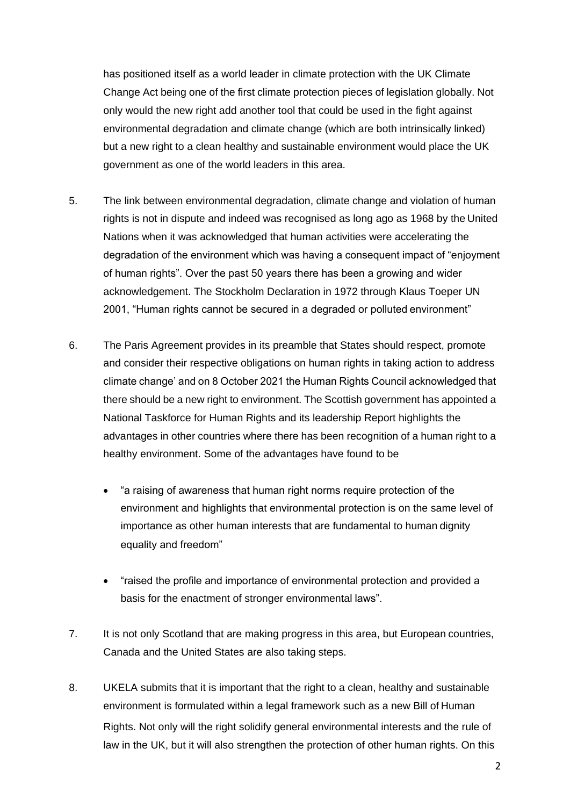has positioned itself as a world leader in climate protection with the UK Climate Change Act being one of the first climate protection pieces of legislation globally. Not only would the new right add another tool that could be used in the fight against environmental degradation and climate change (which are both intrinsically linked) but a new right to a clean healthy and sustainable environment would place the UK government as one of the world leaders in this area.

- 5. The link between environmental degradation, climate change and violation of human rights is not in dispute and indeed was recognised as long ago as 1968 by the United Nations when it was acknowledged that human activities were accelerating the degradation of the environment which was having a consequent impact of "enjoyment of human rights". Over the past 50 years there has been a growing and wider acknowledgement. The Stockholm Declaration in 1972 through Klaus Toeper UN 2001, "Human rights cannot be secured in a degraded or polluted environment"
- 6. The Paris Agreement provides in its preamble that States should respect, promote and consider their respective obligations on human rights in taking action to address climate change' and on 8 October 2021 the Human Rights Council acknowledged that there should be a new right to environment. The Scottish government has appointed a National Taskforce for Human Rights and its leadership Report highlights the advantages in other countries where there has been recognition of a human right to a healthy environment. Some of the advantages have found to be
	- "a raising of awareness that human right norms require protection of the environment and highlights that environmental protection is on the same level of importance as other human interests that are fundamental to human dignity equality and freedom"
	- "raised the profile and importance of environmental protection and provided a basis for the enactment of stronger environmental laws".
- 7. It is not only Scotland that are making progress in this area, but European countries, Canada and the United States are also taking steps.
- 8. UKELA submits that it is important that the right to a clean, healthy and sustainable environment is formulated within a legal framework such as a new Bill of Human Rights. Not only will the right solidify general environmental interests and the rule of law in the UK, but it will also strengthen the protection of other human rights. On this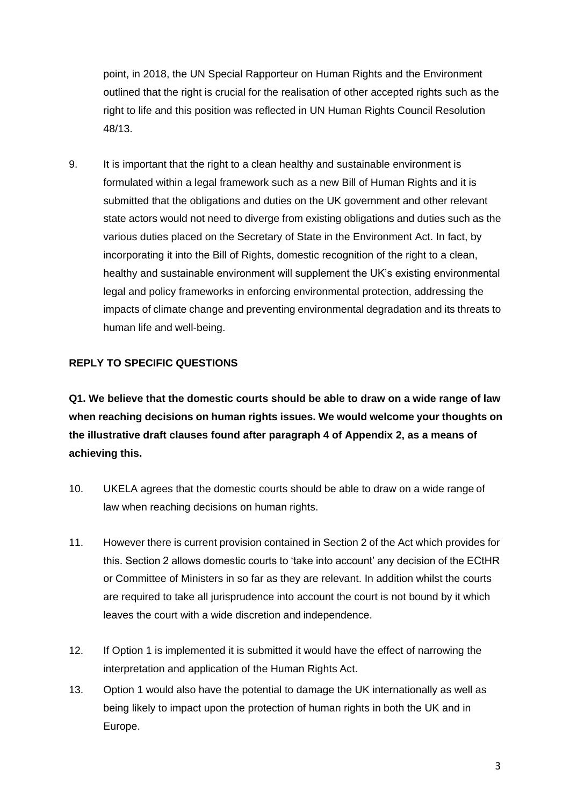point, in 2018, the UN Special Rapporteur on Human Rights and the Environment outlined that the right is crucial for the realisation of other accepted rights such as the right to life and this position was reflected in UN Human Rights Council Resolution 48/13.

9. It is important that the right to a clean healthy and sustainable environment is formulated within a legal framework such as a new Bill of Human Rights and it is submitted that the obligations and duties on the UK government and other relevant state actors would not need to diverge from existing obligations and duties such as the various duties placed on the Secretary of State in the Environment Act. In fact, by incorporating it into the Bill of Rights, domestic recognition of the right to a clean, healthy and sustainable environment will supplement the UK's existing environmental legal and policy frameworks in enforcing environmental protection, addressing the impacts of climate change and preventing environmental degradation and its threats to human life and well-being.

#### **REPLY TO SPECIFIC QUESTIONS**

**Q1. We believe that the domestic courts should be able to draw on a wide range of law when reaching decisions on human rights issues. We would welcome your thoughts on the illustrative draft clauses found after paragraph 4 of Appendix 2, as a means of achieving this.**

- 10. UKELA agrees that the domestic courts should be able to draw on a wide range of law when reaching decisions on human rights.
- 11. However there is current provision contained in Section 2 of the Act which provides for this. Section 2 allows domestic courts to 'take into account' any decision of the ECtHR or Committee of Ministers in so far as they are relevant. In addition whilst the courts are required to take all jurisprudence into account the court is not bound by it which leaves the court with a wide discretion and independence.
- 12. If Option 1 is implemented it is submitted it would have the effect of narrowing the interpretation and application of the Human Rights Act.
- 13. Option 1 would also have the potential to damage the UK internationally as well as being likely to impact upon the protection of human rights in both the UK and in Europe.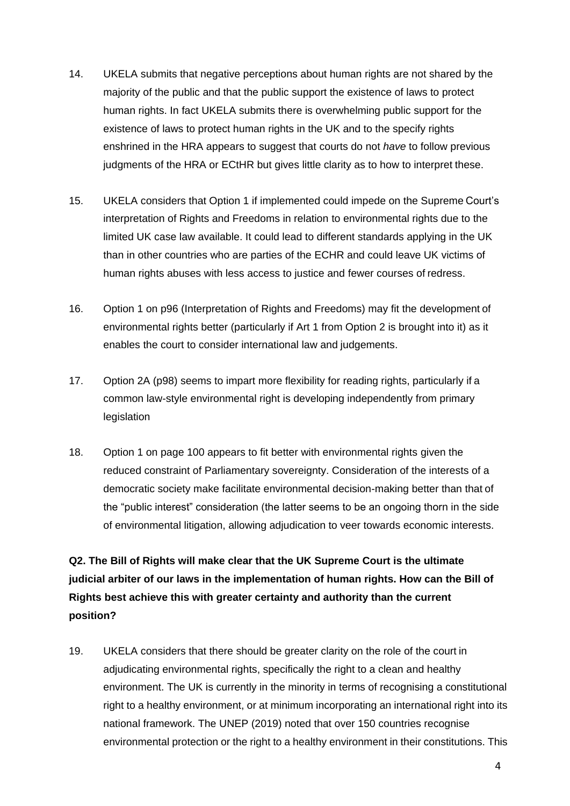- 14. UKELA submits that negative perceptions about human rights are not shared by the majority of the public and that the public support the existence of laws to protect human rights. In fact UKELA submits there is overwhelming public support for the existence of laws to protect human rights in the UK and to the specify rights enshrined in the HRA appears to suggest that courts do not *have* to follow previous judgments of the HRA or ECtHR but gives little clarity as to how to interpret these.
- 15. UKELA considers that Option 1 if implemented could impede on the Supreme Court's interpretation of Rights and Freedoms in relation to environmental rights due to the limited UK case law available. It could lead to different standards applying in the UK than in other countries who are parties of the ECHR and could leave UK victims of human rights abuses with less access to justice and fewer courses of redress.
- 16. Option 1 on p96 (Interpretation of Rights and Freedoms) may fit the development of environmental rights better (particularly if Art 1 from Option 2 is brought into it) as it enables the court to consider international law and judgements.
- 17. Option 2A (p98) seems to impart more flexibility for reading rights, particularly if a common law-style environmental right is developing independently from primary legislation
- 18. Option 1 on page 100 appears to fit better with environmental rights given the reduced constraint of Parliamentary sovereignty. Consideration of the interests of a democratic society make facilitate environmental decision-making better than that of the "public interest" consideration (the latter seems to be an ongoing thorn in the side of environmental litigation, allowing adjudication to veer towards economic interests.

**Q2. The Bill of Rights will make clear that the UK Supreme Court is the ultimate judicial arbiter of our laws in the implementation of human rights. How can the Bill of Rights best achieve this with greater certainty and authority than the current position?**

19. UKELA considers that there should be greater clarity on the role of the court in adjudicating environmental rights, specifically the right to a clean and healthy environment. The UK is currently in the minority in terms of recognising a constitutional right to a healthy environment, or at minimum incorporating an international right into its national framework. The UNEP (2019) noted that over 150 countries recognise environmental protection or the right to a healthy environment in their constitutions. This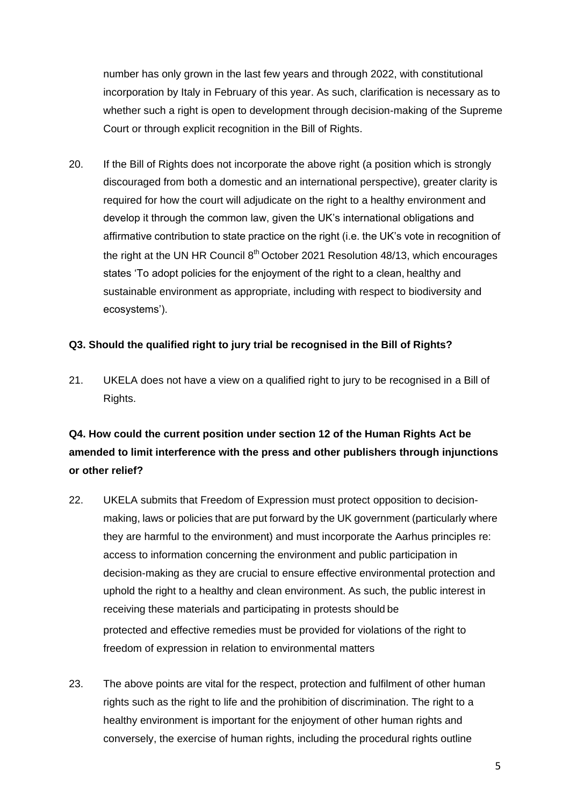number has only grown in the last few years and through 2022, with constitutional incorporation by Italy in February of this year. As such, clarification is necessary as to whether such a right is open to development through decision-making of the Supreme Court or through explicit recognition in the Bill of Rights.

20. If the Bill of Rights does not incorporate the above right (a position which is strongly discouraged from both a domestic and an international perspective), greater clarity is required for how the court will adjudicate on the right to a healthy environment and develop it through the common law, given the UK's international obligations and affirmative contribution to state practice on the right (i.e. the UK's vote in recognition of the right at the UN HR Council  $8<sup>th</sup>$  October 2021 Resolution 48/13, which encourages states 'To adopt policies for the enjoyment of the right to a clean, healthy and sustainable environment as appropriate, including with respect to biodiversity and ecosystems').

#### **Q3. Should the qualified right to jury trial be recognised in the Bill of Rights?**

21. UKELA does not have a view on a qualified right to jury to be recognised in a Bill of Rights.

# **Q4. How could the current position under section 12 of the Human Rights Act be amended to limit interference with the press and other publishers through injunctions or other relief?**

- 22. UKELA submits that Freedom of Expression must protect opposition to decisionmaking, laws or policies that are put forward by the UK government (particularly where they are harmful to the environment) and must incorporate the Aarhus principles re: access to information concerning the environment and public participation in decision-making as they are crucial to ensure effective environmental protection and uphold the right to a healthy and clean environment. As such, the public interest in receiving these materials and participating in protests should be protected and effective remedies must be provided for violations of the right to freedom of expression in relation to environmental matters
- 23. The above points are vital for the respect, protection and fulfilment of other human rights such as the right to life and the prohibition of discrimination. The right to a healthy environment is important for the enjoyment of other human rights and conversely, the exercise of human rights, including the procedural rights outline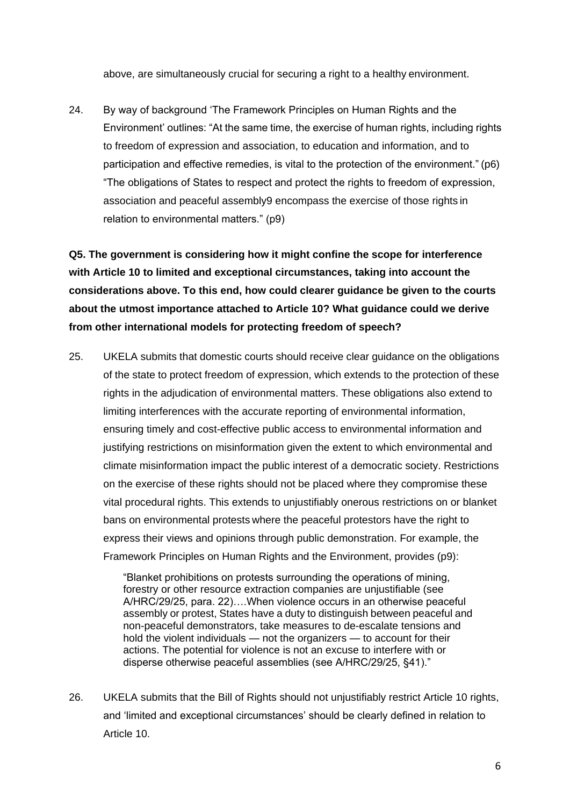above, are simultaneously crucial for securing a right to a healthy environment.

24. By way of background 'The Framework Principles on Human Rights and the Environment' outlines: "At the same time, the exercise of human rights, including rights to freedom of expression and association, to education and information, and to participation and effective remedies, is vital to the protection of the environment." (p6) "The obligations of States to respect and protect the rights to freedom of expression, association and peaceful assembly9 encompass the exercise of those rights in relation to environmental matters." (p9)

**Q5. The government is considering how it might confine the scope for interference with Article 10 to limited and exceptional circumstances, taking into account the considerations above. To this end, how could clearer guidance be given to the courts about the utmost importance attached to Article 10? What guidance could we derive from other international models for protecting freedom of speech?**

25. UKELA submits that domestic courts should receive clear guidance on the obligations of the state to protect freedom of expression, which extends to the protection of these rights in the adjudication of environmental matters. These obligations also extend to limiting interferences with the accurate reporting of environmental information, ensuring timely and cost-effective public access to environmental information and justifying restrictions on misinformation given the extent to which environmental and climate misinformation impact the public interest of a democratic society. Restrictions on the exercise of these rights should not be placed where they compromise these vital procedural rights. This extends to unjustifiably onerous restrictions on or blanket bans on environmental protests where the peaceful protestors have the right to express their views and opinions through public demonstration. For example, the Framework Principles on Human Rights and the Environment, provides (p9):

> "Blanket prohibitions on protests surrounding the operations of mining, forestry or other resource extraction companies are unjustifiable (see A/HRC/29/25, para. 22)….When violence occurs in an otherwise peaceful assembly or protest, States have a duty to distinguish between peaceful and non-peaceful demonstrators, take measures to de-escalate tensions and hold the violent individuals — not the organizers — to account for their actions. The potential for violence is not an excuse to interfere with or disperse otherwise peaceful assemblies (see A/HRC/29/25, §41)."

26. UKELA submits that the Bill of Rights should not unjustifiably restrict Article 10 rights, and 'limited and exceptional circumstances' should be clearly defined in relation to Article 10.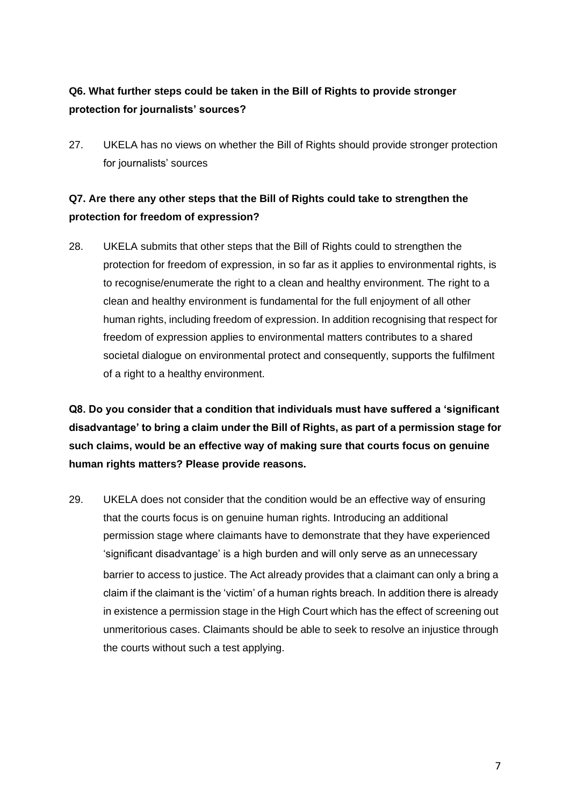# **Q6. What further steps could be taken in the Bill of Rights to provide stronger protection for journalists' sources?**

27. UKELA has no views on whether the Bill of Rights should provide stronger protection for journalists' sources

## **Q7. Are there any other steps that the Bill of Rights could take to strengthen the protection for freedom of expression?**

28. UKELA submits that other steps that the Bill of Rights could to strengthen the protection for freedom of expression, in so far as it applies to environmental rights, is to recognise/enumerate the right to a clean and healthy environment. The right to a clean and healthy environment is fundamental for the full enjoyment of all other human rights, including freedom of expression. In addition recognising that respect for freedom of expression applies to environmental matters contributes to a shared societal dialogue on environmental protect and consequently, supports the fulfilment of a right to a healthy environment.

**Q8. Do you consider that a condition that individuals must have suffered a 'significant disadvantage' to bring a claim under the Bill of Rights, as part of a permission stage for such claims, would be an effective way of making sure that courts focus on genuine human rights matters? Please provide reasons.**

29. UKELA does not consider that the condition would be an effective way of ensuring that the courts focus is on genuine human rights. Introducing an additional permission stage where claimants have to demonstrate that they have experienced 'significant disadvantage' is a high burden and will only serve as an unnecessary barrier to access to justice. The Act already provides that a claimant can only a bring a claim if the claimant is the 'victim' of a human rights breach. In addition there is already in existence a permission stage in the High Court which has the effect of screening out unmeritorious cases. Claimants should be able to seek to resolve an injustice through the courts without such a test applying.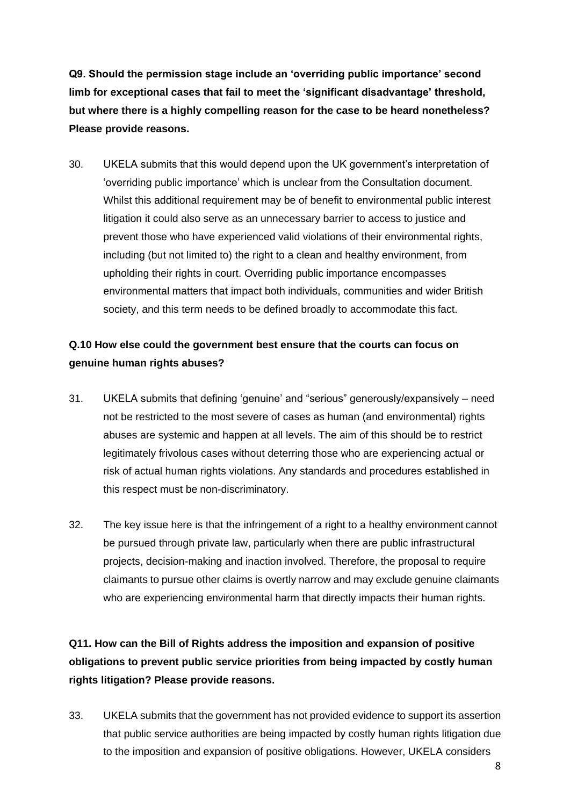**Q9. Should the permission stage include an 'overriding public importance' second limb for exceptional cases that fail to meet the 'significant disadvantage' threshold, but where there is a highly compelling reason for the case to be heard nonetheless? Please provide reasons.**

30. UKELA submits that this would depend upon the UK government's interpretation of 'overriding public importance' which is unclear from the Consultation document. Whilst this additional requirement may be of benefit to environmental public interest litigation it could also serve as an unnecessary barrier to access to justice and prevent those who have experienced valid violations of their environmental rights, including (but not limited to) the right to a clean and healthy environment, from upholding their rights in court. Overriding public importance encompasses environmental matters that impact both individuals, communities and wider British society, and this term needs to be defined broadly to accommodate this fact.

### **Q.10 How else could the government best ensure that the courts can focus on genuine human rights abuses?**

- 31. UKELA submits that defining 'genuine' and "serious" generously/expansively need not be restricted to the most severe of cases as human (and environmental) rights abuses are systemic and happen at all levels. The aim of this should be to restrict legitimately frivolous cases without deterring those who are experiencing actual or risk of actual human rights violations. Any standards and procedures established in this respect must be non-discriminatory.
- 32. The key issue here is that the infringement of a right to a healthy environment cannot be pursued through private law, particularly when there are public infrastructural projects, decision-making and inaction involved. Therefore, the proposal to require claimants to pursue other claims is overtly narrow and may exclude genuine claimants who are experiencing environmental harm that directly impacts their human rights.

**Q11. How can the Bill of Rights address the imposition and expansion of positive obligations to prevent public service priorities from being impacted by costly human rights litigation? Please provide reasons.**

33. UKELA submits that the government has not provided evidence to support its assertion that public service authorities are being impacted by costly human rights litigation due to the imposition and expansion of positive obligations. However, UKELA considers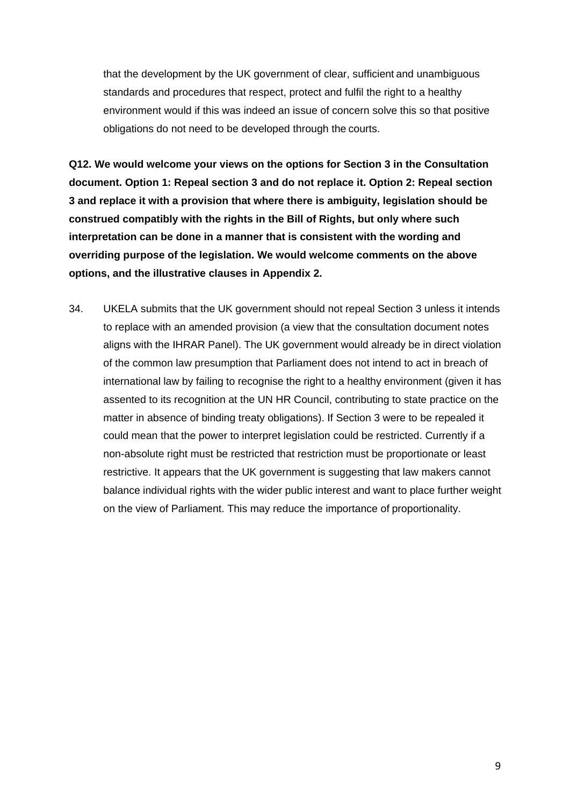that the development by the UK government of clear, sufficient and unambiguous standards and procedures that respect, protect and fulfil the right to a healthy environment would if this was indeed an issue of concern solve this so that positive obligations do not need to be developed through the courts.

**Q12. We would welcome your views on the options for Section 3 in the Consultation document. Option 1: Repeal section 3 and do not replace it. Option 2: Repeal section 3 and replace it with a provision that where there is ambiguity, legislation should be construed compatibly with the rights in the Bill of Rights, but only where such interpretation can be done in a manner that is consistent with the wording and overriding purpose of the legislation. We would welcome comments on the above options, and the illustrative clauses in Appendix 2.**

34. UKELA submits that the UK government should not repeal Section 3 unless it intends to replace with an amended provision (a view that the consultation document notes aligns with the IHRAR Panel). The UK government would already be in direct violation of the common law presumption that Parliament does not intend to act in breach of international law by failing to recognise the right to a healthy environment (given it has assented to its recognition at the UN HR Council, contributing to state practice on the matter in absence of binding treaty obligations). If Section 3 were to be repealed it could mean that the power to interpret legislation could be restricted. Currently if a non-absolute right must be restricted that restriction must be proportionate or least restrictive. It appears that the UK government is suggesting that law makers cannot balance individual rights with the wider public interest and want to place further weight on the view of Parliament. This may reduce the importance of proportionality.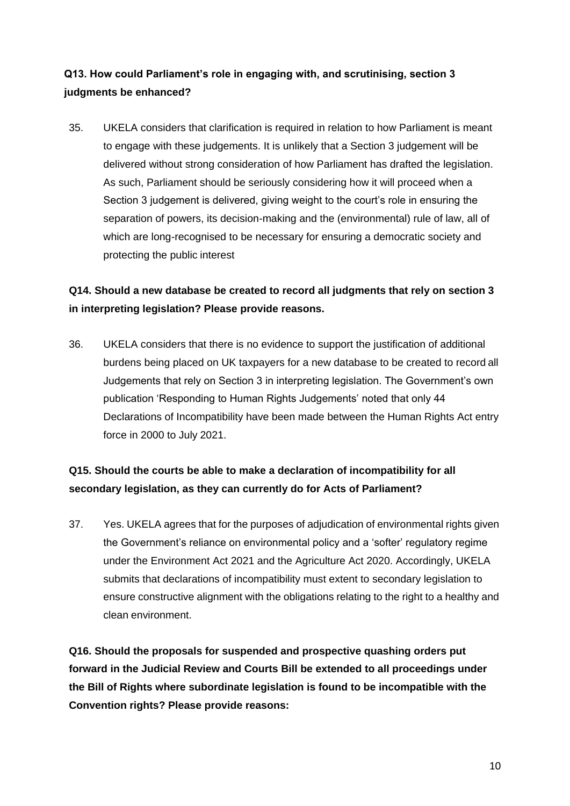## **Q13. How could Parliament's role in engaging with, and scrutinising, section 3 judgments be enhanced?**

35. UKELA considers that clarification is required in relation to how Parliament is meant to engage with these judgements. It is unlikely that a Section 3 judgement will be delivered without strong consideration of how Parliament has drafted the legislation. As such, Parliament should be seriously considering how it will proceed when a Section 3 judgement is delivered, giving weight to the court's role in ensuring the separation of powers, its decision-making and the (environmental) rule of law, all of which are long-recognised to be necessary for ensuring a democratic society and protecting the public interest

## **Q14. Should a new database be created to record all judgments that rely on section 3 in interpreting legislation? Please provide reasons.**

36. UKELA considers that there is no evidence to support the justification of additional burdens being placed on UK taxpayers for a new database to be created to record all Judgements that rely on Section 3 in interpreting legislation. The Government's own publication 'Responding to Human Rights Judgements' noted that only 44 Declarations of Incompatibility have been made between the Human Rights Act entry force in 2000 to July 2021.

# **Q15. Should the courts be able to make a declaration of incompatibility for all secondary legislation, as they can currently do for Acts of Parliament?**

37. Yes. UKELA agrees that for the purposes of adjudication of environmental rights given the Government's reliance on environmental policy and a 'softer' regulatory regime under the Environment Act 2021 and the Agriculture Act 2020. Accordingly, UKELA submits that declarations of incompatibility must extent to secondary legislation to ensure constructive alignment with the obligations relating to the right to a healthy and clean environment.

**Q16. Should the proposals for suspended and prospective quashing orders put forward in the Judicial Review and Courts Bill be extended to all proceedings under the Bill of Rights where subordinate legislation is found to be incompatible with the Convention rights? Please provide reasons:**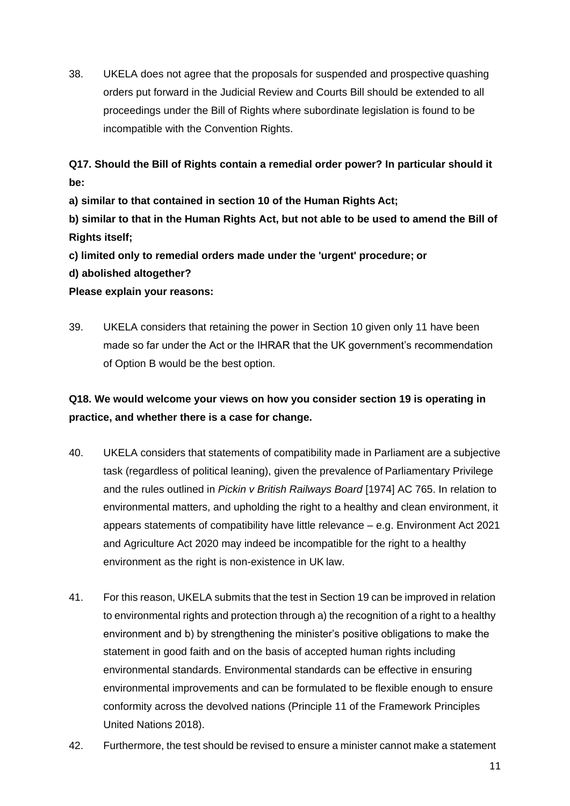38. UKELA does not agree that the proposals for suspended and prospective quashing orders put forward in the Judicial Review and Courts Bill should be extended to all proceedings under the Bill of Rights where subordinate legislation is found to be incompatible with the Convention Rights.

**Q17. Should the Bill of Rights contain a remedial order power? In particular should it be:**

**a) similar to that contained in section 10 of the Human Rights Act;**

**b) similar to that in the Human Rights Act, but not able to be used to amend the Bill of Rights itself;**

**c) limited only to remedial orders made under the 'urgent' procedure; or**

**d) abolished altogether?** 

### **Please explain your reasons:**

39. UKELA considers that retaining the power in Section 10 given only 11 have been made so far under the Act or the IHRAR that the UK government's recommendation of Option B would be the best option.

# **Q18. We would welcome your views on how you consider section 19 is operating in practice, and whether there is a case for change.**

- 40. UKELA considers that statements of compatibility made in Parliament are a subjective task (regardless of political leaning), given the prevalence of Parliamentary Privilege and the rules outlined in *Pickin v British Railways Board* [1974] AC 765. In relation to environmental matters, and upholding the right to a healthy and clean environment, it appears statements of compatibility have little relevance – e.g. Environment Act 2021 and Agriculture Act 2020 may indeed be incompatible for the right to a healthy environment as the right is non-existence in UK law.
- 41. For this reason, UKELA submits that the test in Section 19 can be improved in relation to environmental rights and protection through a) the recognition of a right to a healthy environment and b) by strengthening the minister's positive obligations to make the statement in good faith and on the basis of accepted human rights including environmental standards. Environmental standards can be effective in ensuring environmental improvements and can be formulated to be flexible enough to ensure conformity across the devolved nations (Principle 11 of the Framework Principles United Nations 2018).
- 42. Furthermore, the test should be revised to ensure a minister cannot make a statement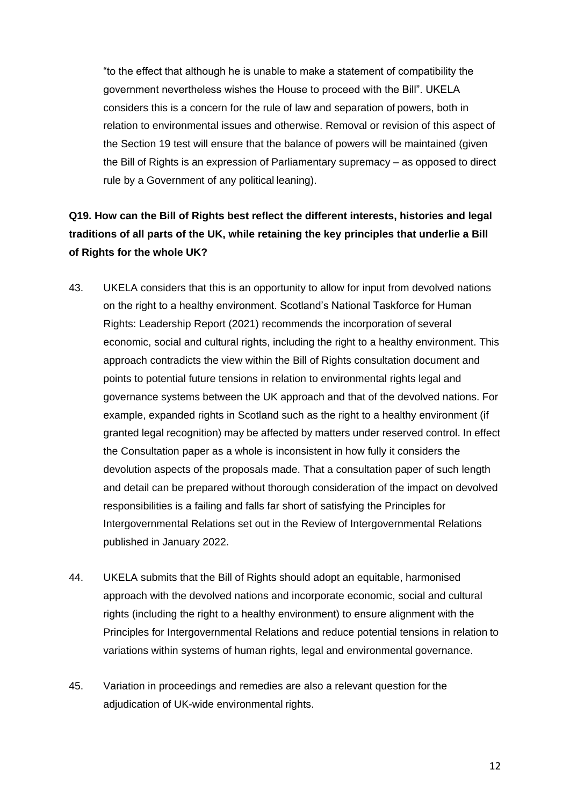"to the effect that although he is unable to make a statement of compatibility the government nevertheless wishes the House to proceed with the Bill". UKELA considers this is a concern for the rule of law and separation of powers, both in relation to environmental issues and otherwise. Removal or revision of this aspect of the Section 19 test will ensure that the balance of powers will be maintained (given the Bill of Rights is an expression of Parliamentary supremacy – as opposed to direct rule by a Government of any political leaning).

# **Q19. How can the Bill of Rights best reflect the different interests, histories and legal traditions of all parts of the UK, while retaining the key principles that underlie a Bill of Rights for the whole UK?**

- 43. UKELA considers that this is an opportunity to allow for input from devolved nations on the right to a healthy environment. Scotland's National Taskforce for Human Rights: Leadership Report (2021) recommends the incorporation of several economic, social and cultural rights, including the right to a healthy environment. This approach contradicts the view within the Bill of Rights consultation document and points to potential future tensions in relation to environmental rights legal and governance systems between the UK approach and that of the devolved nations. For example, expanded rights in Scotland such as the right to a healthy environment (if granted legal recognition) may be affected by matters under reserved control. In effect the Consultation paper as a whole is inconsistent in how fully it considers the devolution aspects of the proposals made. That a consultation paper of such length and detail can be prepared without thorough consideration of the impact on devolved responsibilities is a failing and falls far short of satisfying the Principles for Intergovernmental Relations set out in the Review of Intergovernmental Relations published in January 2022.
- 44. UKELA submits that the Bill of Rights should adopt an equitable, harmonised approach with the devolved nations and incorporate economic, social and cultural rights (including the right to a healthy environment) to ensure alignment with the Principles for Intergovernmental Relations and reduce potential tensions in relation to variations within systems of human rights, legal and environmental governance.
- 45. Variation in proceedings and remedies are also a relevant question for the adjudication of UK-wide environmental rights.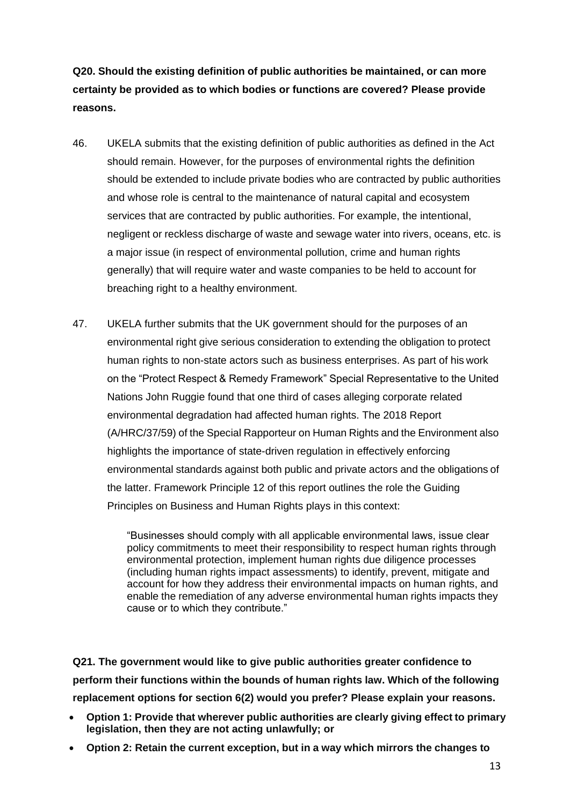**Q20. Should the existing definition of public authorities be maintained, or can more certainty be provided as to which bodies or functions are covered? Please provide reasons.**

- 46. UKELA submits that the existing definition of public authorities as defined in the Act should remain. However, for the purposes of environmental rights the definition should be extended to include private bodies who are contracted by public authorities and whose role is central to the maintenance of natural capital and ecosystem services that are contracted by public authorities. For example, the intentional, negligent or reckless discharge of waste and sewage water into rivers, oceans, etc. is a major issue (in respect of environmental pollution, crime and human rights generally) that will require water and waste companies to be held to account for breaching right to a healthy environment.
- 47. UKELA further submits that the UK government should for the purposes of an environmental right give serious consideration to extending the obligation to protect human rights to non-state actors such as business enterprises. As part of his work on the "Protect Respect & Remedy Framework" Special Representative to the United Nations John Ruggie found that one third of cases alleging corporate related environmental degradation had affected human rights. The 2018 Report (A/HRC/37/59) of the Special Rapporteur on Human Rights and the Environment also highlights the importance of state-driven regulation in effectively enforcing environmental standards against both public and private actors and the obligations of the latter. Framework Principle 12 of this report outlines the role the Guiding Principles on Business and Human Rights plays in this context:

"Businesses should comply with all applicable environmental laws, issue clear policy commitments to meet their responsibility to respect human rights through environmental protection, implement human rights due diligence processes (including human rights impact assessments) to identify, prevent, mitigate and account for how they address their environmental impacts on human rights, and enable the remediation of any adverse environmental human rights impacts they cause or to which they contribute."

**Q21. The government would like to give public authorities greater confidence to perform their functions within the bounds of human rights law. Which of the following replacement options for section 6(2) would you prefer? Please explain your reasons.**

- **Option 1: Provide that wherever public authorities are clearly giving effect to primary legislation, then they are not acting unlawfully; or**
- **Option 2: Retain the current exception, but in a way which mirrors the changes to**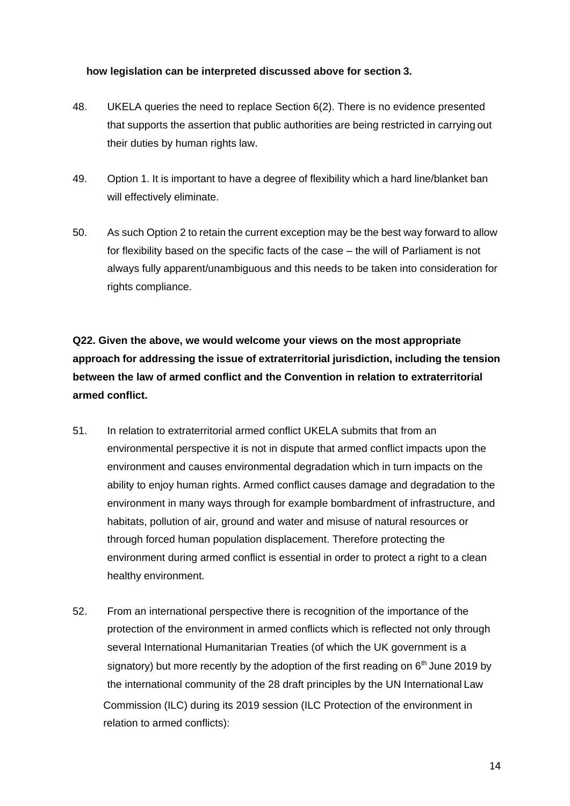#### **how legislation can be interpreted discussed above for section 3.**

- 48. UKELA queries the need to replace Section 6(2). There is no evidence presented that supports the assertion that public authorities are being restricted in carrying out their duties by human rights law.
- 49. Option 1. It is important to have a degree of flexibility which a hard line/blanket ban will effectively eliminate.
- 50. As such Option 2 to retain the current exception may be the best way forward to allow for flexibility based on the specific facts of the case – the will of Parliament is not always fully apparent/unambiguous and this needs to be taken into consideration for rights compliance.

**Q22. Given the above, we would welcome your views on the most appropriate approach for addressing the issue of extraterritorial jurisdiction, including the tension between the law of armed conflict and the Convention in relation to extraterritorial armed conflict.**

- 51. In relation to extraterritorial armed conflict UKELA submits that from an environmental perspective it is not in dispute that armed conflict impacts upon the environment and causes environmental degradation which in turn impacts on the ability to enjoy human rights. Armed conflict causes damage and degradation to the environment in many ways through for example bombardment of infrastructure, and habitats, pollution of air, ground and water and misuse of natural resources or through forced human population displacement. Therefore protecting the environment during armed conflict is essential in order to protect a right to a clean healthy environment.
- 52. From an international perspective there is recognition of the importance of the protection of the environment in armed conflicts which is reflected not only through several International Humanitarian Treaties (of which the UK government is a signatory) but more recently by the adoption of the first reading on  $6<sup>th</sup>$  June 2019 by the international community of the 28 draft principles by the UN International Law Commission (ILC) during its 2019 session (ILC Protection of the environment in relation to armed conflicts):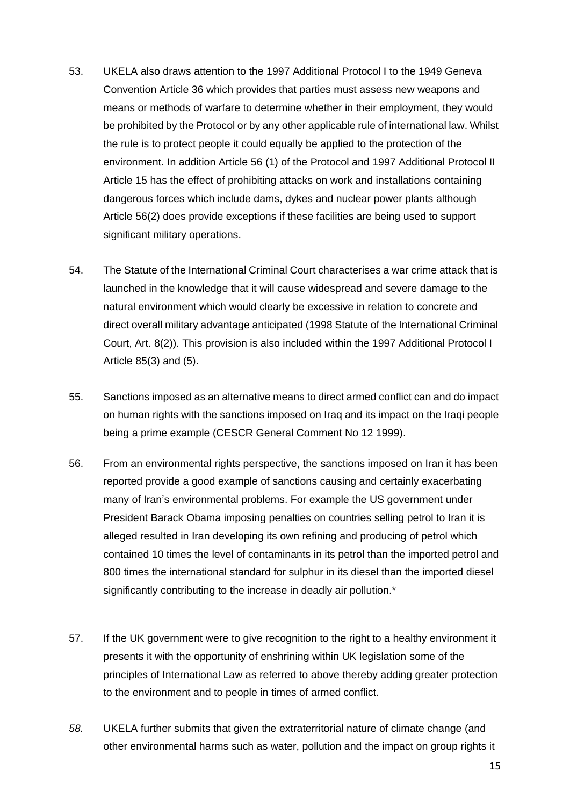- 53. UKELA also draws attention to the 1997 Additional Protocol I to the 1949 Geneva Convention Article 36 which provides that parties must assess new weapons and means or methods of warfare to determine whether in their employment, they would be prohibited by the Protocol or by any other applicable rule of international law. Whilst the rule is to protect people it could equally be applied to the protection of the environment. In addition Article 56 (1) of the Protocol and 1997 Additional Protocol II Article 15 has the effect of prohibiting attacks on work and installations containing dangerous forces which include dams, dykes and nuclear power plants although Article 56(2) does provide exceptions if these facilities are being used to support significant military operations.
- 54. The Statute of the International Criminal Court characterises a war crime attack that is launched in the knowledge that it will cause widespread and severe damage to the natural environment which would clearly be excessive in relation to concrete and direct overall military advantage anticipated (1998 Statute of the International Criminal Court, Art. 8(2)). This provision is also included within the 1997 Additional Protocol I Article 85(3) and (5).
- 55. Sanctions imposed as an alternative means to direct armed conflict can and do impact on human rights with the sanctions imposed on Iraq and its impact on the Iraqi people being a prime example (CESCR General Comment No 12 1999).
- 56. From an environmental rights perspective, the sanctions imposed on Iran it has been reported provide a good example of sanctions causing and certainly exacerbating many of Iran's environmental problems. For example the US government under President Barack Obama imposing penalties on countries selling petrol to Iran it is alleged resulted in Iran developing its own refining and producing of petrol which contained 10 times the level of contaminants in its petrol than the imported petrol and 800 times the international standard for sulphur in its diesel than the imported diesel significantly contributing to the increase in deadly air pollution.<sup>\*</sup>
- 57. If the UK government were to give recognition to the right to a healthy environment it presents it with the opportunity of enshrining within UK legislation some of the principles of International Law as referred to above thereby adding greater protection to the environment and to people in times of armed conflict.
- *58.* UKELA further submits that given the extraterritorial nature of climate change (and other environmental harms such as water, pollution and the impact on group rights it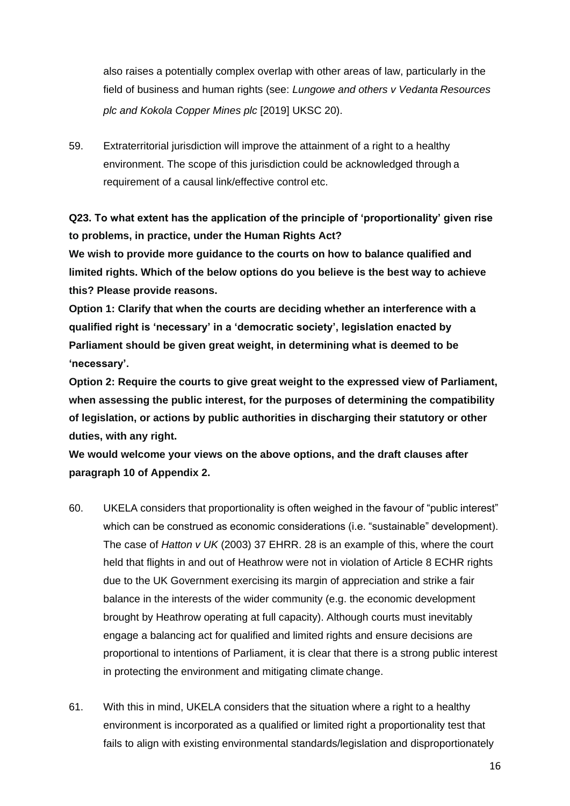also raises a potentially complex overlap with other areas of law, particularly in the field of business and human rights (see: *Lungowe and others v Vedanta Resources plc and Kokola Copper Mines plc* [2019] UKSC 20).

59. Extraterritorial jurisdiction will improve the attainment of a right to a healthy environment. The scope of this jurisdiction could be acknowledged through a requirement of a causal link/effective control etc.

**Q23. To what extent has the application of the principle of 'proportionality' given rise to problems, in practice, under the Human Rights Act?**

**We wish to provide more guidance to the courts on how to balance qualified and limited rights. Which of the below options do you believe is the best way to achieve this? Please provide reasons.**

**Option 1: Clarify that when the courts are deciding whether an interference with a qualified right is 'necessary' in a 'democratic society', legislation enacted by Parliament should be given great weight, in determining what is deemed to be 'necessary'.**

**Option 2: Require the courts to give great weight to the expressed view of Parliament, when assessing the public interest, for the purposes of determining the compatibility of legislation, or actions by public authorities in discharging their statutory or other duties, with any right.**

**We would welcome your views on the above options, and the draft clauses after paragraph 10 of Appendix 2.**

- 60. UKELA considers that proportionality is often weighed in the favour of "public interest" which can be construed as economic considerations (i.e. "sustainable" development). The case of *Hatton v UK* (2003) 37 EHRR. 28 is an example of this, where the court held that flights in and out of Heathrow were not in violation of Article 8 ECHR rights due to the UK Government exercising its margin of appreciation and strike a fair balance in the interests of the wider community (e.g. the economic development brought by Heathrow operating at full capacity). Although courts must inevitably engage a balancing act for qualified and limited rights and ensure decisions are proportional to intentions of Parliament, it is clear that there is a strong public interest in protecting the environment and mitigating climate change.
- 61. With this in mind, UKELA considers that the situation where a right to a healthy environment is incorporated as a qualified or limited right a proportionality test that fails to align with existing environmental standards/legislation and disproportionately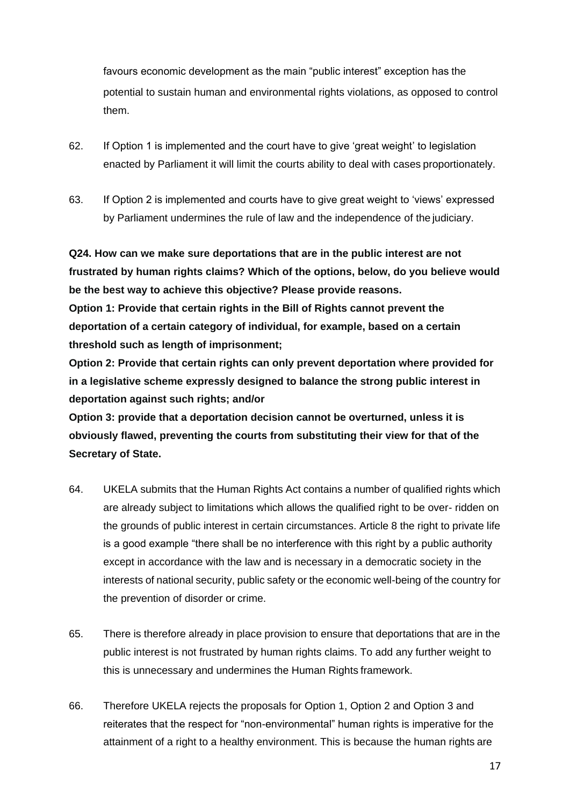favours economic development as the main "public interest" exception has the potential to sustain human and environmental rights violations, as opposed to control them.

- 62. If Option 1 is implemented and the court have to give 'great weight' to legislation enacted by Parliament it will limit the courts ability to deal with cases proportionately.
- 63. If Option 2 is implemented and courts have to give great weight to 'views' expressed by Parliament undermines the rule of law and the independence of the judiciary.

**Q24. How can we make sure deportations that are in the public interest are not frustrated by human rights claims? Which of the options, below, do you believe would be the best way to achieve this objective? Please provide reasons.**

**Option 1: Provide that certain rights in the Bill of Rights cannot prevent the deportation of a certain category of individual, for example, based on a certain threshold such as length of imprisonment;**

**Option 2: Provide that certain rights can only prevent deportation where provided for in a legislative scheme expressly designed to balance the strong public interest in deportation against such rights; and/or**

**Option 3: provide that a deportation decision cannot be overturned, unless it is obviously flawed, preventing the courts from substituting their view for that of the Secretary of State.**

- 64. UKELA submits that the Human Rights Act contains a number of qualified rights which are already subject to limitations which allows the qualified right to be over- ridden on the grounds of public interest in certain circumstances. Article 8 the right to private life is a good example "there shall be no interference with this right by a public authority except in accordance with the law and is necessary in a democratic society in the interests of national security, public safety or the economic well-being of the country for the prevention of disorder or crime.
- 65. There is therefore already in place provision to ensure that deportations that are in the public interest is not frustrated by human rights claims. To add any further weight to this is unnecessary and undermines the Human Rights framework.
- 66. Therefore UKELA rejects the proposals for Option 1, Option 2 and Option 3 and reiterates that the respect for "non-environmental" human rights is imperative for the attainment of a right to a healthy environment. This is because the human rights are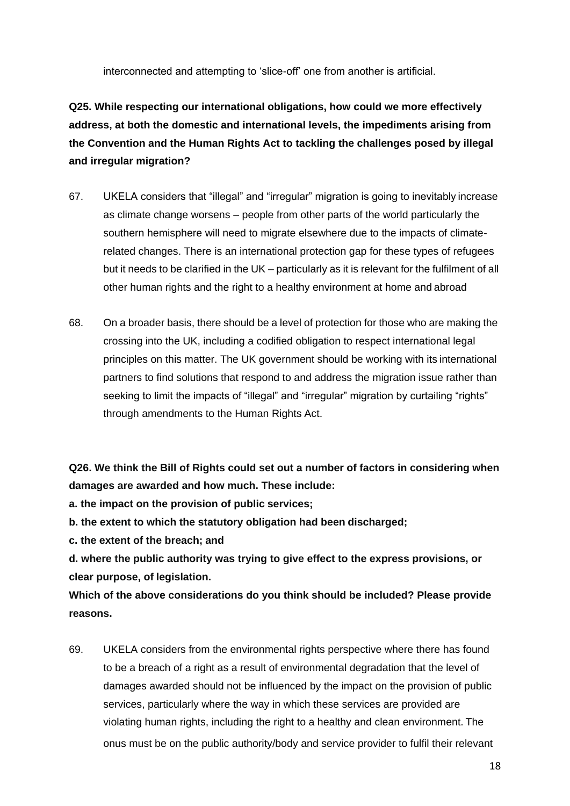interconnected and attempting to 'slice-off' one from another is artificial.

**Q25. While respecting our international obligations, how could we more effectively address, at both the domestic and international levels, the impediments arising from the Convention and the Human Rights Act to tackling the challenges posed by illegal and irregular migration?**

- 67. UKELA considers that "illegal" and "irregular" migration is going to inevitably increase as climate change worsens – people from other parts of the world particularly the southern hemisphere will need to migrate elsewhere due to the impacts of climaterelated changes. There is an international protection gap for these types of refugees but it needs to be clarified in the UK – particularly as it is relevant for the fulfilment of all other human rights and the right to a healthy environment at home and abroad
- 68. On a broader basis, there should be a level of protection for those who are making the crossing into the UK, including a codified obligation to respect international legal principles on this matter. The UK government should be working with its international partners to find solutions that respond to and address the migration issue rather than seeking to limit the impacts of "illegal" and "irregular" migration by curtailing "rights" through amendments to the Human Rights Act.

**Q26. We think the Bill of Rights could set out a number of factors in considering when damages are awarded and how much. These include:**

**a. the impact on the provision of public services;**

**b. the extent to which the statutory obligation had been discharged;**

**c. the extent of the breach; and**

**d. where the public authority was trying to give effect to the express provisions, or clear purpose, of legislation.**

**Which of the above considerations do you think should be included? Please provide reasons.**

69. UKELA considers from the environmental rights perspective where there has found to be a breach of a right as a result of environmental degradation that the level of damages awarded should not be influenced by the impact on the provision of public services, particularly where the way in which these services are provided are violating human rights, including the right to a healthy and clean environment. The onus must be on the public authority/body and service provider to fulfil their relevant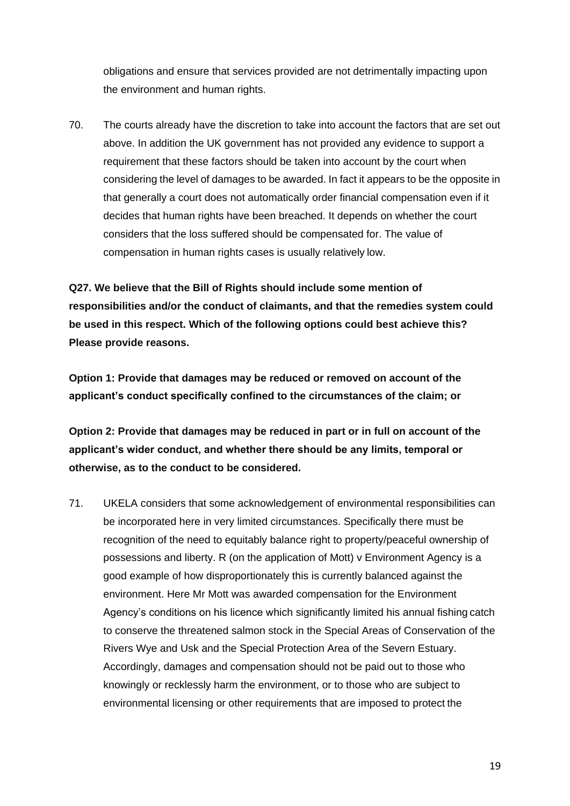obligations and ensure that services provided are not detrimentally impacting upon the environment and human rights.

70. The courts already have the discretion to take into account the factors that are set out above. In addition the UK government has not provided any evidence to support a requirement that these factors should be taken into account by the court when considering the level of damages to be awarded. In fact it appears to be the opposite in that generally a court does not automatically order financial compensation even if it decides that human rights have been breached. It depends on whether the court considers that the loss suffered should be compensated for. The value of compensation in human rights cases is usually relatively low.

**Q27. We believe that the Bill of Rights should include some mention of responsibilities and/or the conduct of claimants, and that the remedies system could be used in this respect. Which of the following options could best achieve this? Please provide reasons.**

**Option 1: Provide that damages may be reduced or removed on account of the applicant's conduct specifically confined to the circumstances of the claim; or**

**Option 2: Provide that damages may be reduced in part or in full on account of the applicant's wider conduct, and whether there should be any limits, temporal or otherwise, as to the conduct to be considered.**

71. UKELA considers that some acknowledgement of environmental responsibilities can be incorporated here in very limited circumstances. Specifically there must be recognition of the need to equitably balance right to property/peaceful ownership of possessions and liberty. R (on the application of Mott) v Environment Agency is a good example of how disproportionately this is currently balanced against the environment. Here Mr Mott was awarded compensation for the Environment Agency's conditions on his licence which significantly limited his annual fishing catch to conserve the threatened salmon stock in the Special Areas of Conservation of the Rivers Wye and Usk and the Special Protection Area of the Severn Estuary. Accordingly, damages and compensation should not be paid out to those who knowingly or recklessly harm the environment, or to those who are subject to environmental licensing or other requirements that are imposed to protect the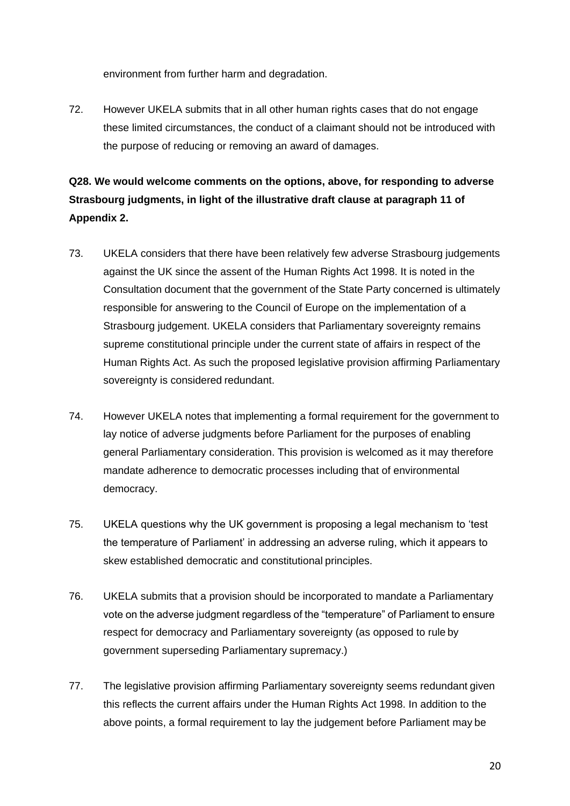environment from further harm and degradation.

72. However UKELA submits that in all other human rights cases that do not engage these limited circumstances, the conduct of a claimant should not be introduced with the purpose of reducing or removing an award of damages.

# **Q28. We would welcome comments on the options, above, for responding to adverse Strasbourg judgments, in light of the illustrative draft clause at paragraph 11 of Appendix 2.**

- 73. UKELA considers that there have been relatively few adverse Strasbourg judgements against the UK since the assent of the Human Rights Act 1998. It is noted in the Consultation document that the government of the State Party concerned is ultimately responsible for answering to the Council of Europe on the implementation of a Strasbourg judgement. UKELA considers that Parliamentary sovereignty remains supreme constitutional principle under the current state of affairs in respect of the Human Rights Act. As such the proposed legislative provision affirming Parliamentary sovereignty is considered redundant.
- 74. However UKELA notes that implementing a formal requirement for the government to lay notice of adverse judgments before Parliament for the purposes of enabling general Parliamentary consideration. This provision is welcomed as it may therefore mandate adherence to democratic processes including that of environmental democracy.
- 75. UKELA questions why the UK government is proposing a legal mechanism to 'test the temperature of Parliament' in addressing an adverse ruling, which it appears to skew established democratic and constitutional principles.
- 76. UKELA submits that a provision should be incorporated to mandate a Parliamentary vote on the adverse judgment regardless of the "temperature" of Parliament to ensure respect for democracy and Parliamentary sovereignty (as opposed to rule by government superseding Parliamentary supremacy.)
- 77. The legislative provision affirming Parliamentary sovereignty seems redundant given this reflects the current affairs under the Human Rights Act 1998. In addition to the above points, a formal requirement to lay the judgement before Parliament may be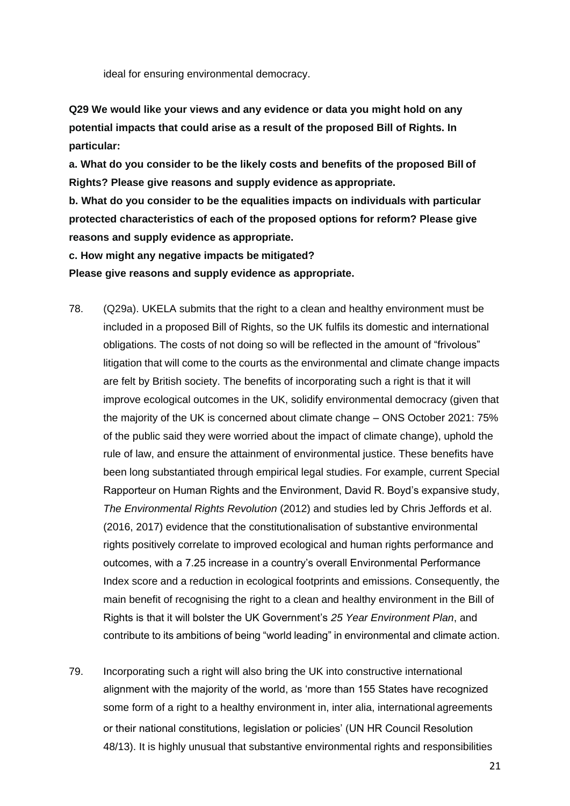ideal for ensuring environmental democracy.

**Q29 We would like your views and any evidence or data you might hold on any potential impacts that could arise as a result of the proposed Bill of Rights. In particular:**

**a. What do you consider to be the likely costs and benefits of the proposed Bill of Rights? Please give reasons and supply evidence as appropriate.**

**b. What do you consider to be the equalities impacts on individuals with particular protected characteristics of each of the proposed options for reform? Please give reasons and supply evidence as appropriate.**

**c. How might any negative impacts be mitigated?**

**Please give reasons and supply evidence as appropriate.**

- 78. (Q29a). UKELA submits that the right to a clean and healthy environment must be included in a proposed Bill of Rights, so the UK fulfils its domestic and international obligations. The costs of not doing so will be reflected in the amount of "frivolous" litigation that will come to the courts as the environmental and climate change impacts are felt by British society. The benefits of incorporating such a right is that it will improve ecological outcomes in the UK, solidify environmental democracy (given that the majority of the UK is concerned about climate change – ONS October 2021: 75% of the public said they were worried about the impact of climate change), uphold the rule of law, and ensure the attainment of environmental justice. These benefits have been long substantiated through empirical legal studies. For example, current Special Rapporteur on Human Rights and the Environment, David R. Boyd's expansive study, *The Environmental Rights Revolution* (2012) and studies led by Chris Jeffords et al. (2016, 2017) evidence that the constitutionalisation of substantive environmental rights positively correlate to improved ecological and human rights performance and outcomes, with a 7.25 increase in a country's overall Environmental Performance Index score and a reduction in ecological footprints and emissions. Consequently, the main benefit of recognising the right to a clean and healthy environment in the Bill of Rights is that it will bolster the UK Government's *25 Year Environment Plan*, and contribute to its ambitions of being "world leading" in environmental and climate action.
- 79. Incorporating such a right will also bring the UK into constructive international alignment with the majority of the world, as 'more than 155 States have recognized some form of a right to a healthy environment in, inter alia, international agreements or their national constitutions, legislation or policies' (UN HR Council Resolution 48/13). It is highly unusual that substantive environmental rights and responsibilities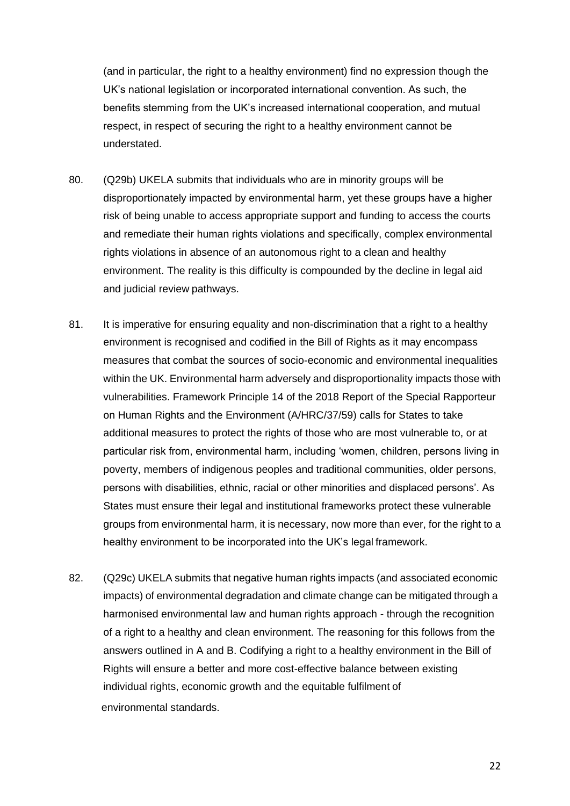(and in particular, the right to a healthy environment) find no expression though the UK's national legislation or incorporated international convention. As such, the benefits stemming from the UK's increased international cooperation, and mutual respect, in respect of securing the right to a healthy environment cannot be understated.

- 80. (Q29b) UKELA submits that individuals who are in minority groups will be disproportionately impacted by environmental harm, yet these groups have a higher risk of being unable to access appropriate support and funding to access the courts and remediate their human rights violations and specifically, complex environmental rights violations in absence of an autonomous right to a clean and healthy environment. The reality is this difficulty is compounded by the decline in legal aid and judicial review pathways.
- 81. It is imperative for ensuring equality and non-discrimination that a right to a healthy environment is recognised and codified in the Bill of Rights as it may encompass measures that combat the sources of socio-economic and environmental inequalities within the UK. Environmental harm adversely and disproportionality impacts those with vulnerabilities. Framework Principle 14 of the 2018 Report of the Special Rapporteur on Human Rights and the Environment (A/HRC/37/59) calls for States to take additional measures to protect the rights of those who are most vulnerable to, or at particular risk from, environmental harm, including 'women, children, persons living in poverty, members of indigenous peoples and traditional communities, older persons, persons with disabilities, ethnic, racial or other minorities and displaced persons'. As States must ensure their legal and institutional frameworks protect these vulnerable groups from environmental harm, it is necessary, now more than ever, for the right to a healthy environment to be incorporated into the UK's legal framework.
- 82. (Q29c) UKELA submits that negative human rights impacts (and associated economic impacts) of environmental degradation and climate change can be mitigated through a harmonised environmental law and human rights approach - through the recognition of a right to a healthy and clean environment. The reasoning for this follows from the answers outlined in A and B. Codifying a right to a healthy environment in the Bill of Rights will ensure a better and more cost-effective balance between existing individual rights, economic growth and the equitable fulfilment of environmental standards.